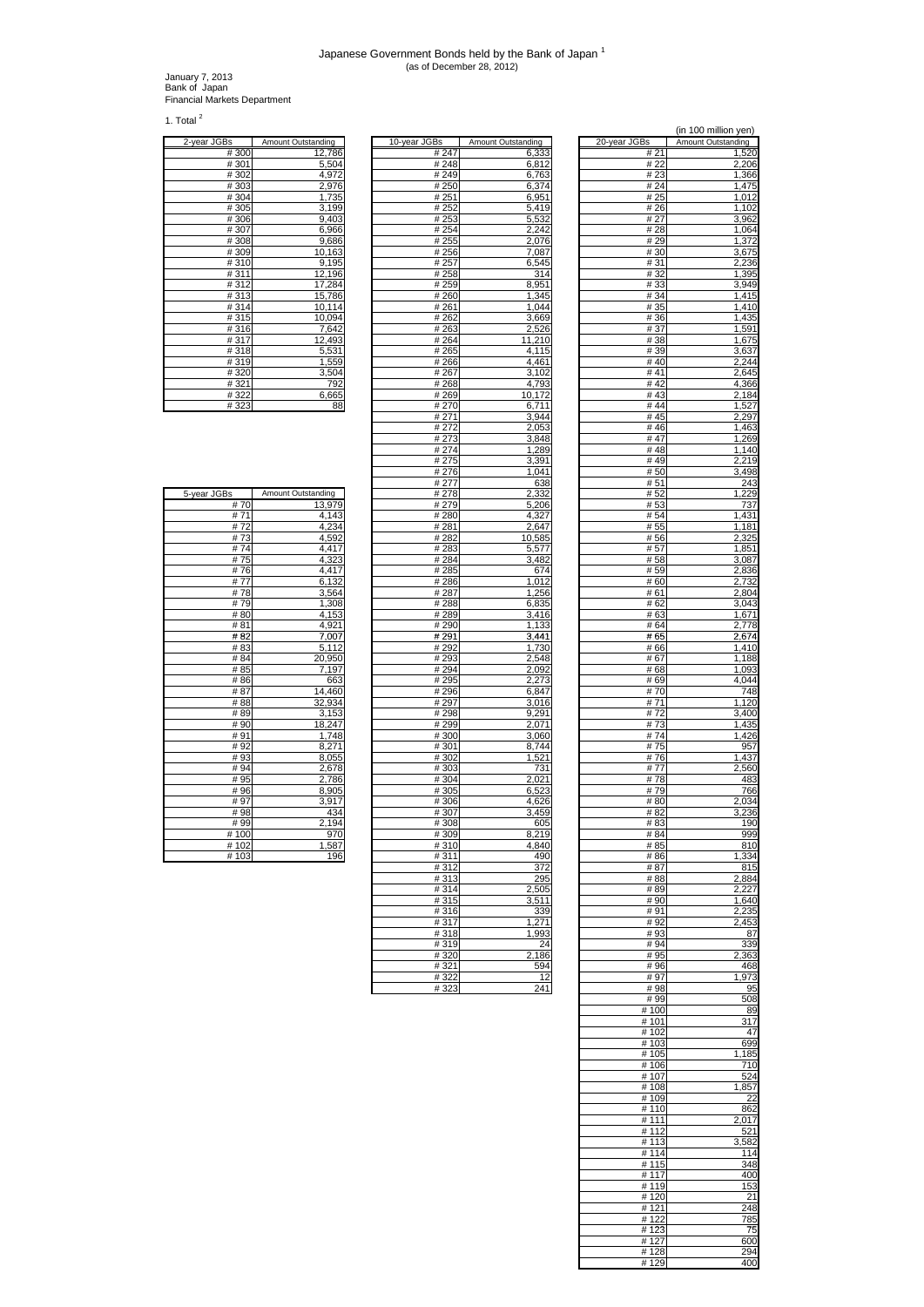## Japanese Government Bonds held by the Bank of Japan <sup>1</sup> (as of December 28, 2012)

January 7, 2013 Bank of Japan Financial Markets Department

1. Total  $2$ 

|             | Amount Outstanding |
|-------------|--------------------|
| 2-year JGBs |                    |
| #300        | 12,786             |
| #301        | 5,504              |
| #302        | 4,972              |
| #303        | 2,976              |
| #304        | 1,735              |
| #305        | 3,199              |
| #306        | 9,403              |
| #307        | 6,966              |
| #308        | 9,686              |
| #309        | 10,163             |
| #310        | 9,195              |
| #311        | 12,196             |
| #312        | 17,284             |
| #313        | 15,786             |
| #314        | 10,114             |
| #315        | 10,094             |
| #316        | 7,642              |
| #317        | 12,493             |
| #318        | 5,531              |
| #319        | 1,559              |
| #320        | 3,504              |
| #321        | 792                |
| #322        | 6,665              |
| #323        | 88                 |

| 2-year JGBs | Amount Outstanding | 10-year JGBs | Amount Outstanding | 20-year JGBs | Amount Outstanding |
|-------------|--------------------|--------------|--------------------|--------------|--------------------|
| #300        | 12.786             | #247         | 6,333              | # 21         | 1,520              |
| #301        | 5,504              | #248         | 6,812              | # 22         | 2,206              |
| #302        | 4,972              | #249         | 6,763              | #23          | 1,366              |
| #303        | 2,976              | # 250        | 6,374              | #24          | 1,475              |
| #304        | 1,735              | #251         | 6,951              | # 25         | 1,012              |
| #305        | 3,199              | # 252        | 5,419              | # 26         | 1,102              |
| #306        | 9,403              | #253         | 5,532              | # 27         | 3,962              |
| #307        | 6,966              | #254         | 2,242              | # 28         | 1,064              |
| #308        | 9,686              | #255         | 2,076              | #29          | 1,372              |
| #309        | 10,163             | #256         | 7,087              | # 30         | 3,675              |
|             |                    |              |                    | # 31         |                    |
| #310        | 9,195              | # 257        | 6,545              | #32          | 2,236              |
| #311        | 12,196             | #258         | 314                |              | 1,395              |
| #312        | 17,284             | #259         | 8,951              | #33          | 3,949              |
| #313        | 15,786             | #260         | 1,345              | # 34         | 1,415              |
| #314        | 10,114             | #261         | 1,044              | # 35         | 1,410              |
| #315        | 10,094             | #262         | 3,669              | # 36         | 1,435              |
| #316        | 7,642              | #263         | 2,526              | #37          | 1,591              |
| #317        | 12,493             | #264         | 11,210             | #38          | 1,675              |
| #318        | 5,531              | #265         | 4,115              | #39          | 3,637              |
| #319        | 1,559              | #266         | 4.461              | #40          | 2,244              |
| #320        | 3,504              | #267         | 3,102              | #41          | 2,645              |
| #321        | 792                | #268         | 4,793              | #42          | 4,366              |
| #322        | 6,665              | #269         | 10,172             | #43          | 2,184              |
| #323        | 88                 | #270         | 6,711              | # $44$       | 1,527              |
|             |                    | #271         | 3,944              | #45          | 2,297              |
|             |                    | #272         | 2,053              | #46          | 1,463              |
|             |                    | #273         | 3,848              | #47          | 1,269              |
|             |                    | # 274        | 1,289              | #48          | 1,140              |
|             |                    | #275         | 3,391              | #49          | 2,219              |
|             |                    | #276         | 1,041              | #50          | 3,498              |
|             |                    | # 277        | 638                | # 51         | 243                |
| 5-year JGBs | Amount Outstanding | # 278        | 2,332              | #52          | 1,229              |
| #70         | 13.979             | #279         | 5,206              | #53          | 737                |
| #71         | 4,143              | #280         | 4,327              | #54          | 1,431              |
| #72         | 4,234              | #281         |                    | # 55         |                    |
| #73         |                    |              | 2,647              |              | 1,181              |
|             | 4,592              | # 282        | 10,585             | # 56         | 2,325              |
| #74         | 4,417              | #283         | 5,577              | # 57         | 1,851              |
| #75         | 4,323              | #284         | 3,482              | #58          | 3,087              |
| #76         | 4,417              | #285         | 674                | # 59         | 2,836              |
| #77         | 6,132              | #286         | 1,012              | # 60         | 2,732              |
| #78         | 3,564              | #287         | 1,256              | #61          | 2,804              |
| #79         | 1,308              | #288         | 6,835              | # 62         | 3,043              |
| #80         | 4,153              | #289         | 3,416              | #63          | 1,671              |
| #81         | 4,921              | #290         | 1,133              | # 64         | 2,778              |
| #82         | 7,007              | #291         | 3,441              | #65          | 2,674              |
| # 83        | 5,112              | # 292        | 1,730              | #66          | 1,410              |
| # 84        | 20,950             | #293         | 2,548              | #67          | 1,188              |
| # 85        | 7,197              | #294         | 2,092              | # 68         | 1,093              |
| #86         | 663                | #295         | 2,273              | # 69         | 4,044              |
| #87         | 14,460             | #296         | 6,847              | #70          | 748                |
| #88         | 32,934             | # 297        | 3,016              | #71          | 1,120              |
| #89         | 3,153              | #298         | 9,291              | #72          | 3,400              |
| #90         | 18,247             | #299         | 2,071              | #73          | 1,435              |
| #91         | 1,748              | #300         | 3,060              | #74          | 1,426              |
| #92         | 8,271              | #301         | 8,744              | #75          | 957                |
| #93         | 8,055              | #302         | 1,521              | #76          | 1,437              |
| #94         | 2,678              | #303         | 731                | #77          | 2,560              |
| #95         | 2,786              | #304         | 2,021              | #78          | 483                |
| #96         | 8,905              | #305         | 6,523              | #79          | 766                |
| #97         | 3,917              | #306         | 4,626              | #80          | 2,034              |
| #98         | 434                | #307         | 3,459              | #82          | 3,236              |
| #99         | 2,194              | #308         | 605                | #83          | 190                |
| #100        | 970                | #309         | 8.219              | # 84         | 999                |
| #102        | 1,587              | #310         | 4,840              | # 85         | 810                |
| #103        | 196                | #311         | 490                | #86          | 1,334              |
|             |                    |              |                    |              |                    |
|             |                    | #312         | 372                | #87          | 815                |
|             |                    | #313         | 295                | #88          | 2,884              |
|             |                    | #314         | 2,505              | #89          | 2,227              |
|             |                    | #315         | 3,511              | #90          | 1,640              |
|             |                    | #316         | 339                | #91          | 2,235              |
|             |                    | #317         | 1,271              | #92          | 2,453              |
|             |                    | #318         | 1,993              | #93          | 87                 |
|             |                    | #319         | 24                 | #94          | 339                |
|             |                    | #320         | 2,186              | # 95         | 2,363              |
|             |                    | #321         | 594                | #96          | 468                |
|             |                    | #322         | 12                 | #97          | 1,973              |
|             |                    | #323         | 241                | #98          | 95                 |
|             |                    |              |                    |              |                    |

|                            |                             |                      | (in 100 million yen)        |
|----------------------------|-----------------------------|----------------------|-----------------------------|
| Зs<br># 247                | Amount Outstanding<br>6,333 | 20-year JGBs<br># 21 | Amount Outstanding<br>1,520 |
| #248                       | 6,812                       | # 22                 | 2,206                       |
| # 249<br># 250             | 6,763<br>6,374              | #23<br>#24           | 1,366<br>1,475              |
| # 251                      | 6,951                       | # 25                 | 1,012                       |
| # 252                      | 5,419                       | # 26                 | 1,102                       |
| #253<br># 254              | 5,532<br>2,242              | # 27<br># 28         | 3,962<br>1,064              |
| #255                       | 2,076                       | # 29                 | 1,372                       |
| # 256<br># 257             | 7,087<br>6,545              | #30<br>#31           | 3,675<br>2,236              |
| #258                       | 314                         | #32                  | 1,395                       |
| # 259                      | 8,951                       | # 33<br># 34         | 3,949                       |
| # 260<br>$\frac{1}{4}$ 261 | 1,345<br>1,044              | # 35                 | 1,415<br>1.410              |
| # 262                      | 3,669                       | #36                  | 1,435                       |
| #263<br># 264              | 2,526<br>11,210             | #37<br>#38           | 1,591<br>1,675              |
| #265                       | 4,115                       | #39                  | 3,637                       |
| #266<br># 267              | 4,461<br>3,102              | #40<br>#41           | 2,244<br>2,645              |
| #268                       | 4,793                       | #42                  | 4,366                       |
| #269<br># 270              | 10,172<br>6,711             | #43<br>#44           | 2,184<br>1,527              |
| # 271                      | 3,944                       | #45                  | 2,297                       |
| #272                       | 2,053                       | #46                  | 1,463                       |
| #273<br>#274               | 3,848<br>1,289              | # 47<br>#48          | 1,269<br>1,140              |
| #275                       | 3,391                       | #49                  | 2,219                       |
| # 276<br>#277              | 1,041<br>638                | #50<br>#51           | 3,498<br>243                |
| #278                       | 2,332                       | # 52                 | 1,229                       |
| # 279<br># 280             | 5,206<br>4,327              | # 53<br>#54          | 737<br>1,431                |
| # 281                      | 2,647                       | # 55                 | 1,181                       |
| # 282                      | 10,585                      | # 56                 | 2,325                       |
| #283<br># 284              | 5,577<br>3,482              | # 57<br>#58          | 1,851<br>3,087              |
| #285                       | 674                         | # 59                 | 2,836                       |
| #286<br># 287              | 1,012<br>1,256              | # 60<br># 61         | 2,732<br>2,804              |
| #288                       | 6,835                       | # 62                 | 3,043                       |
| #289<br># 290              | 3,416<br>1,133              | #63<br>#64           | 1,671<br>2,778              |
| #291                       | 3,441                       | #65                  | 2,674                       |
| # 292                      | 1,730                       | #66                  | 1,410                       |
| # 293<br>#294              | 2,548<br>2,092              | #67<br># 68          | 1,188<br>1,093              |
| # 295                      | 2,273                       | # 69                 | 4,044                       |
| # 296<br>#297              | 6,847<br>3,016              | #70<br># 71          | 748<br>1,120                |
| # 298                      | 9,291                       | # 72                 | 3,400                       |
| #299<br>#300               | 2,071<br>3,060              | #73<br>#74           | 1,435<br>,426               |
| #301                       | 8,744                       | #75                  | 957                         |
| #302<br># 303              | 1,521<br>731                | #<br>76<br>#77       | 1,437<br>2,560              |
| #304                       | 2,021                       | #78                  | 483                         |
| $\frac{1}{4}305$<br>#306   | 6,523                       | # 79<br>#80          | 766                         |
| #307                       | 4,626<br>3,459              | #82                  | 2,034<br>3,236              |
| #308                       | 605                         | # 83                 | 190                         |
| #309<br>#310               | 8,219<br>4,840              | # 84<br># 85         | 999<br>810                  |
| #311                       | 490                         | #86                  | 334<br>1.                   |
| #312<br>#313               | 372<br>295                  | #87<br>#88           | 815<br>2,884                |
| #314                       | 2,505                       | #89                  | 2,227                       |
| #315<br>#316               | 3,511<br>339                | #90<br>#91           | 1,640<br>2,235              |
| #317                       | 1,271                       | #92                  | 2,453                       |
| #318                       | 1,993                       | #93                  | 87                          |
| #319<br>#320               | 24<br>2,186                 | #94<br>#95           | 339<br>2,363                |
| # 321                      | 594                         | #96                  | 468                         |
| #322<br>#323               | 12<br>241                   | #97<br>#98           | 1,973<br>95                 |
|                            |                             | #99                  | 508                         |
|                            |                             | #100<br># 101        | 89<br>317                   |
|                            |                             | #102                 | 47                          |
|                            |                             | #103<br>#105         | 699<br>1,185                |
|                            |                             | #106                 | 710                         |
|                            |                             | #107<br>#108         | 524<br>1,857                |
|                            |                             | #109                 | 22                          |
|                            |                             | #110                 | 862                         |
|                            |                             | #111<br>#112         | 2,017<br>521                |
|                            |                             | #113                 | 3,582                       |
|                            |                             | #114<br># 115        | 114<br>348                  |
|                            |                             | #117                 | 400                         |
|                            |                             | # 119<br>#120        | 153<br>21                   |
|                            |                             | #121                 | 248                         |
|                            |                             | #122                 | 785                         |
|                            |                             | # 123<br># 127       | 75<br>600                   |
|                            |                             | #128                 | 294                         |
|                            |                             | #129                 | 400                         |

| 5-year JGBs | Amount Outstanding |
|-------------|--------------------|
| #70         | 13,979             |
| #71         | 4,143              |
| #72         | 4,234              |
| #73         | 4,592              |
| #74         | 4,417              |
| #75         | 4,323              |
| #76         | 4,417              |
| #77         | 6,132              |
| #78         | 3,564              |
| #79         | 1,308              |
| #80         | 4,153              |
| #81         | 4,921              |
| #82         | 7,007              |
| # 83        | 5,112              |
| # 84        | 20,950             |
| # 85        | 7,197              |
| #86         | 663                |
| #87         | 14,460             |
| #88         | 32,934             |
| #89         | 3,153              |
| #90         | 18,247             |
| #91         | 1,748              |
| #92         | 8,271              |
| # 93        | 8,055              |
| #94         | 2,678              |
| #95         | 2,786              |
| #96         | 8,905              |
| #97         | 3,917              |
| #98         | 434                |
| #99         | 2,194              |
| #100        | 970                |
| #102        | 1,587              |
| #103        | 196                |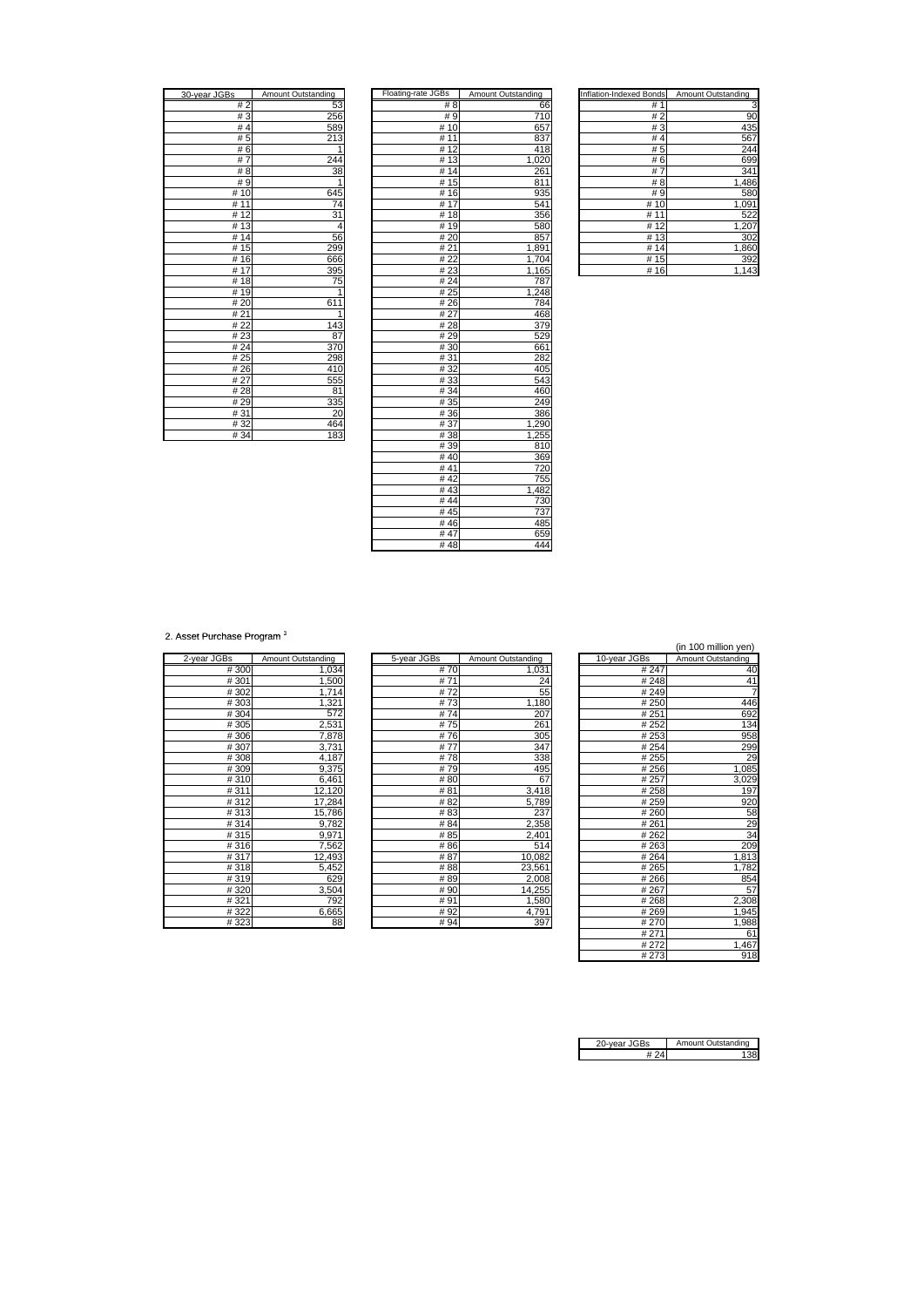| 30-year JGBs         | <b>Amount Outstanding</b> |
|----------------------|---------------------------|
| #2                   | 53                        |
| #3                   | 256                       |
| #4                   | 589                       |
| # 5                  | 213                       |
| #6                   |                           |
| 7<br>#               | 244                       |
| 8<br>#               | $\overline{3}8$           |
| #9                   | 1                         |
| # 10                 | 645                       |
| 11<br>#              | 74                        |
| 12<br>#              | 31                        |
| 13<br>#              | 4                         |
| $\overline{1}4$<br># | 56                        |
| 15<br>#              | 299                       |
| 16<br>#              | 666                       |
| $\overline{17}$<br># | 395                       |
| #18                  | 75                        |
| #19                  |                           |
| #20                  | 611                       |
| #21                  | 1                         |
| # 22                 | 143                       |
| #23                  | 87                        |
| #24                  | 370                       |
| # 25                 | 298                       |
| #26                  | 410                       |
| # 27                 | 555                       |
| #28                  | 81                        |
| #29                  | 335                       |
| #31                  | 20                        |
| #32                  | 464                       |
| #34                  | 183                       |

| 30-year JGBs | Amount Outstanding | Floating-rate JGBs | Amount Outstanding | Inflation-Indexed Bonds | Amount Outstanding |
|--------------|--------------------|--------------------|--------------------|-------------------------|--------------------|
| #2           | 53                 | #8                 | 66                 | #1                      | 3                  |
| #3           | 256                | #9                 | 710                | #2                      | 90                 |
| #4           | 589                | # 10               | 657                | #3                      | 435                |
| #5           | 213                | # 11               | 837                | #4                      | 567                |
| #6           | 1                  | #12                | 418                | #5                      | 244                |
| #7           | 244                | #13                | 1,020              | #6                      | 699                |
| #8           | 38                 | #14                | 261                | #7                      | 341                |
| #9           | $\mathbf{1}$       | #15                | 811                | #8                      | 1,486              |
| #10          | 645                | #16                | 935                | #9                      | 580                |
| # 11         | 74                 | #17                | 541                | #10                     | 1,091              |
| #12          | 31                 | #18                | 356                | # 11                    | 522                |
| #13          | 4                  | #19                | 580                | # $\overline{12}$       | 1,207              |
| #14          | 56                 | #20                | 857                | # $13$                  | 302                |
| #15          | 299                | #21                | 1,891              | #14                     | 1,860              |
| #16          | 666                | #22                | 1,704              | #15                     | 392                |
| #17          | 395                | #23                | 1,165              | #16                     | 1,143              |
| #18          | 75                 | #24                | 787                |                         |                    |
| #19          | 1                  | # 25               | 1,248              |                         |                    |
| #20          | 611                | #26                | 784                |                         |                    |
| #21          | 1                  | #27                | 468                |                         |                    |
| #22          | 143                | #28                | 379                |                         |                    |
| #23          | 87                 | #29                | 529                |                         |                    |
| #24          | 370                | #30                | 661                |                         |                    |
| #25          | 298                | #31                | 282                |                         |                    |
| #26          | 410                | #32                | 405                |                         |                    |
| # 27         | 555                | #33                | 543                |                         |                    |
| #28          | 81                 | #34                | 460                |                         |                    |
| #29          | 335                | #35                | 249                |                         |                    |
| #31          | 20                 | #36                | 386                |                         |                    |
| #32          | 464                | #37                | 1,290              |                         |                    |
| # 34         | 183                | #38                | 1,255              |                         |                    |
|              |                    | #39                | 810                |                         |                    |
|              |                    | #40                | 369                |                         |                    |
|              |                    | # 41               | 720                |                         |                    |
|              |                    | # 42               | 755                |                         |                    |
|              |                    | #43                | 1,482              |                         |                    |
|              |                    | #44                | 730                |                         |                    |
|              |                    | #45                | 737                |                         |                    |
|              |                    | #46                | 485                |                         |                    |
|              |                    | #47                | 659                |                         |                    |
|              |                    | #48                | 444                |                         |                    |

| Inflation-Indexed Bonds | Amount Outstanding |
|-------------------------|--------------------|
| #1                      | 3                  |
| #2                      | 90                 |
| #3                      | 435                |
| #4                      | 567                |
| # 5                     | 244                |
| #6                      | 699                |
| #7                      | 341                |
| # 8                     | 1,486              |
| # 9                     | 580                |
| #<br>10                 | 1,091              |
| #<br>11                 | 522                |
| # 12                    | 1,207              |
| 13<br>#                 | 302                |
| #<br>14                 | 1,860              |
| #15                     | 392                |
| #16                     | 1,143              |

2. Asset Purchase Program<sup>3</sup>

| 2-year JGBs | Amount Outstanding    |
|-------------|-----------------------|
| #300        | 1,034                 |
| #301        | 1,500                 |
| #302        | 1,714                 |
| #303        | 1,321                 |
| #304        | 572                   |
| #305        | 2,531                 |
| #306        | 7,878                 |
| #307        | 3,731                 |
| #308        | 4,187                 |
| #309        | 9,375                 |
| #310        | 6,461                 |
| #311        | $\overline{12}$ , 120 |
| #312        | 17,284                |
| #313        | 15,786                |
| #314        | 9,782                 |
| #315        | 9,971                 |
| #316        | 7,562                 |
| #317        | 12,493                |
| #318        | 5,452                 |
| #319        | 629                   |
| #320        | 3,504                 |
| #321        | 792                   |
| #322        | 6,665                 |
| # 323       | <b>RR</b>             |

|             |                    |             |                    |              | (in 100 million yen) |
|-------------|--------------------|-------------|--------------------|--------------|----------------------|
| 2-year JGBs | Amount Outstanding | 5-year JGBs | Amount Outstanding | 10-year JGBs | Amount Outstanding   |
| #300        | 1,034              | #70         | 1,031              | #247         | 40                   |
| #301        | 1,500              | #71         | 24                 | #248         | 41                   |
| #302        | 1,714              | #72         | 55                 | #249         |                      |
| #303        | 1,321              | #73         | 1,180              | #250         | 446                  |
| #304        | 572                | #74         | 207                | #251         | 692                  |
| #305        | 2,531              | #75         | 261                | #252         | 134                  |
| #306        | 7,878              | #76         | 305                | #253         | 958                  |
| #307        | 3,731              | #77         | 347                | #254         | 299                  |
| #308        | 4,187              | #78         | 338                | #255         | 2 <sup>c</sup>       |
| #309        | 9,375              | #79         | 495                | #256         | 1,085                |
| #310        | 6,461              | #80         | 67                 | #257         | 3,029                |
| #311        | 12,120             | #81         | 3,418              | #258         | 197                  |
| #312        | 17,284             | #82         | 5,789              | #259         | 920                  |
| #313        | 15,786             | #83         | 237                | #260         | 58                   |
| #314        | 9,782              | #84         | 2,358              | #261         | 2 <sup>c</sup>       |
| #315        | 9,971              | #85         | 2,401              | #262         | 34                   |
| #316        | 7,562              | #86         | 514                | #263         | 20 <sub>s</sub>      |
| #317        | 12,493             | #87         | 10,082             | #264         | 1,813                |
| #318        | 5,452              | #88         | 23,561             | # 265        | 1,782                |
| #319        | 629                | #89         | 2,008              | #266         | 854                  |
| #320        | 3,504              | #90         | 14,255             | #267         | 57                   |
| #321        | 792                | #91         | 1,580              | #268         | 2,308                |
| #322        | 6,665              | #92         | 4,791              | #269         | 1,945                |
| #323        | 88                 | # 94        | 397                | #270         | 1.988                |

|      |                    |             |                    |              | (in 100 million yen) |
|------|--------------------|-------------|--------------------|--------------|----------------------|
| ۱S   | Amount Outstanding | 5-year JGBs | Amount Outstanding | 10-year JGBs | Amount Outstanding   |
| #300 | 1,034              | #70         | 1,031              | #247         | 40                   |
| #301 | 1,500              | #71         | 24                 | #248         | 41                   |
| #302 | 1,714              | #72         | 55                 | #249         | 7                    |
| #303 | 1,321              | #73         | 1,180              | #250         | 446                  |
| #304 | 572                | #74         | 207                | #251         | 692                  |
| #305 | 2,531              | #75         | 261                | #252         | 134                  |
| #306 | 7,878              | #76         | 305                | #253         | 958                  |
| #307 | 3,731              | #77         | 347                | #254         | 299                  |
| #308 | 4,187              | #78         | 338                | #255         | 29                   |
| #309 | 9,375              | #79         | 495                | #256         | 1,085                |
| #310 | 6,461              | #80         | 67                 | #257         | 3,029                |
| #311 | 12,120             | #81         | 3,418              | #258         | 197                  |
| #312 | 17,284             | #82         | 5.789              | #259         | 920                  |
| #313 | 15,786             | #83         | 237                | #260         | 58                   |
| #314 | 9,782              | #84         | 2,358              | #261         |                      |
| #315 | 9,971              | # 85        | 2,401              | #262         | $\frac{29}{34}$      |
| #316 | 7,562              | # 86        | 514                | #263         | 209                  |
| #317 | 12,493             | #87         | 10,082             | #264         | 1,813                |
| #318 | 5,452              | # 88        | 23,561             | #265         | 1,782                |
| #319 | 629                | #89         | 2,008              | #266         | 854                  |
| #320 | 3,504              | # 90        | 14,255             | #267         | 57                   |
| #321 | 792                | #91         | 1,580              | #268         | 2,308                |
| #322 | 6,665              | # 92        | 4,791              | #269         | 1,945                |
| #323 | 88                 | # 94        | 397                | #270         | 1,988                |
|      |                    |             |                    | #271         | 61                   |
|      |                    |             |                    | #272         | 1,467                |
|      |                    |             |                    | #273         | 918                  |

| ar IGRs | Amount Outstanding |
|---------|--------------------|
|         |                    |
|         |                    |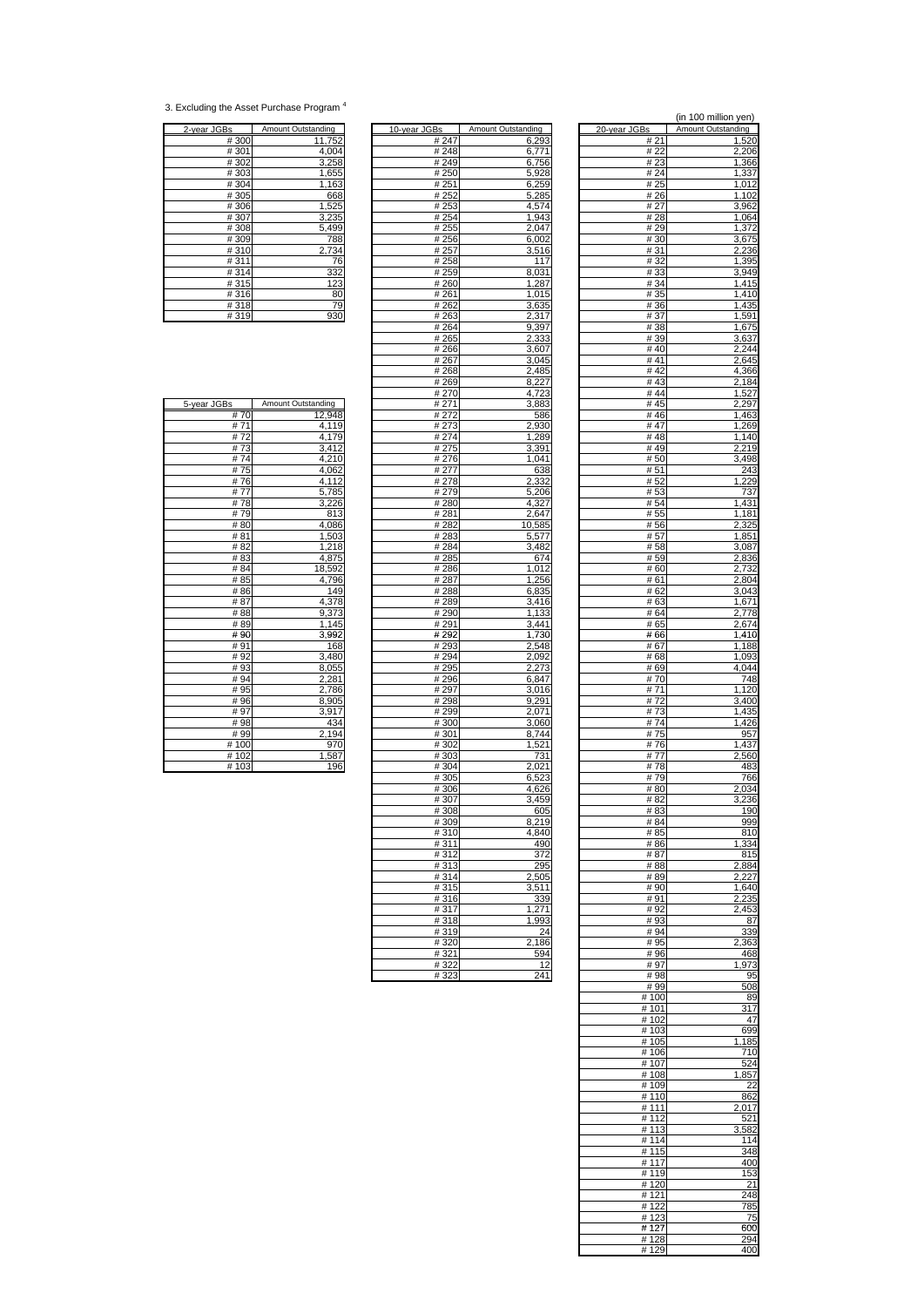<sup>3.</sup> Excluding the Asset Purchase Program 4

| 2-year JGBs | Amount Outstanding                        |
|-------------|-------------------------------------------|
| #300        | 11,752                                    |
| #301        | 4,004                                     |
| #302        | 3,258                                     |
| #303        | 1,655                                     |
| #304        | 1,163                                     |
| #305        |                                           |
| #306        | $\frac{668}{1,525}$ $\frac{3,235}{5,495}$ |
| #307        |                                           |
| #308        |                                           |
| #309        | 788                                       |
| #310        | 2,734                                     |
| #311        |                                           |
| #314        |                                           |
| #315        | $\frac{76}{332}$<br>$\frac{123}{80}$      |
| #316        |                                           |
| #318        | $\frac{75}{930}$                          |
| #319        |                                           |

| <u>2-year JGBs</u> | Amount Outstanding | 10-year JGBs | Amount Outstanding | 20-vear JGBs | Amount Outstanding |
|--------------------|--------------------|--------------|--------------------|--------------|--------------------|
| #300               | 11,752             | # 247        | 6,293              | # 21         | 1,520              |
| #301               | 4,004              | #248         | 6,771              | # 22         | 2,206              |
| #302               | 3,258              | #249         | 6,756              | #23          | 1,366              |
| #303               | 1,655              | #250         | 5,928              | #24          | 1,337              |
| #304               |                    |              |                    | # 25         |                    |
|                    | 1,163              | #251         | 6,259              |              | 1,012              |
| #305               | 668                | #252         | 5,285              | # 26         | 1,102              |
| #306               | 1,525              | # 253        | 4,574              | # 27         | 3,962              |
| #307               | 3,235              | #254         | 1,943              | #28          | 1,064              |
| #308               | 5,499              | #255         | 2,047              | #29          | 1,372              |
| #309               | 788                | #256         | 6,002              | #30          | 3,675              |
| #310               | 2,734              | #257         | 3,516              | #31          | 2,236              |
| #311               | 76                 | #258         | 117                | #32          | 1,395              |
| #314               | 332                | #259         | 8,031              | #33          | 3,949              |
| #315               | 123                | #260         | 1,287              | #34          | 1,415              |
| #316               | 80                 | #261         | 1,015              | # 35         | 1,410              |
| #318               | 79                 | #262         | 3,635              | #36          | 1,435              |
|                    |                    |              |                    |              |                    |
| #319               | 930                | #263         | 2,317              | #37          | 1,591              |
|                    |                    | #264         | 9,397              | #38          | 1,675              |
|                    |                    | #265         | 2,333              | #39          | 3,637              |
|                    |                    | #266         | 3,607              | #40          | 2,244              |
|                    |                    | #267         | 3,045              | #41          | 2,645              |
|                    |                    | #268         | 2,485              | #42          | 4,366              |
|                    |                    | #269         | 8,227              | #43          | 2,184              |
|                    |                    | #270         | 4,723              | #44          | 1,527              |
| 5-year JGBs        | Amount Outstanding | # 271        | 3,883              | #45          | 2,297              |
| #70                | 12,948             | #272         | 586                | #46          | 1,463              |
| #71                | 4,119              | #273         | 2,930              | #47          | 1,269              |
|                    |                    |              |                    |              |                    |
| #72                | 4,179              | #274         | 1,289              | #48          | 1,140              |
| #73                | 3,412              | # 275        | 3,391              | # $49$       | 2,219              |
| #74                | 4,210              | #276         | 1.041              | #50          | 3,498              |
| #75                | 4,062              | # 277        | 638                | #51          | 243                |
| #76                | 4,112              | #278         | 2,332              | # 52         | 1,229              |
| #77                | 5,785              | #279         | 5,206              | # 53         | 737                |
| #78                | 3,226              | #280         | 4,327              | # 54         | 1,431              |
| #79                | 813                | #281         | 2,647              | # 55         | 1,181              |
| #80                | 4,086              | #282         | 10,585             | #56          | 2,325              |
| #81                | 1,503              | #283         | 5,577              | #57          | 1,851              |
|                    |                    |              |                    |              |                    |
| #82                | 1,218              | #284         | 3,482              | #58          | 3,087              |
| #83                | 4,875              | #285         | 674                | #59          | 2,836              |
| # 84               | 18,592             | #286         | 1,012              | #60          | 2,732              |
| # 85               | 4,796              | #287         | 1,256              | # 61         | 2,804              |
| #86                | 149                | #288         | 6,835              | # 62         | 3,043              |
| #87                | 4,378              | #289         | 3,416              | #63          | 1,671              |
| #88                | 9,373              | #290         | 1,133              | # 64         | 2,778              |
| #89                | 1,145              | #291         | 3,441              | # 65         | 2,674              |
| #90                | 3,992              | #292         | 1,730              | #66          | 1,410              |
| #91                | 168                | #293         | 2,548              | #67          | 1,188              |
| #92                | 3,480              | #294         | 2,092              | #68          | 1,093              |
|                    |                    |              |                    |              |                    |
| #93                | 8,055              | #295         | 2,273              | #69          | 4,044              |
| # 94               | 2,281              | #296         | 6,847              | #70          | 748                |
| # 95               | 2,786              | #297         | 3,016              | #71          | 1,120              |
| #96                | 8,905              | #298         | 9,291              | #72          | 3,400              |
| #97                | 3,917              | # 299        | 2,071              | #73          | 1,435              |
| #98                | 434                | #300         | 3,060              | #74          | 1,426              |
| # 99               | 2,194              | #301         | 8,744              | #75          | 957                |
| #100               | 970                | #302         | 1,521              | #76          | 1,437              |
| #102               | 1,587              | #303         | 731                | #77          | 2,560              |
| #103               | 196                | #304         | 2,021              | #78          | 483                |
|                    |                    | #305         | 6,523              | #79          | 766                |
|                    |                    | #306         | 4,626              | #80          |                    |
|                    |                    |              |                    |              | 2,034              |
|                    |                    | #307         | 3,459              | # 82         | 3,236              |
|                    |                    | #308         | 605                | #83          | 190                |
|                    |                    | #309         | 8,219              | # 84         | 999                |
|                    |                    | #310         | 4,840              | # 85         | 810                |
|                    |                    | #311         | 490                | #86          | 1,334              |
|                    |                    | #312         | 372                | #87          | 815                |
|                    |                    | #313         | 295                | #88          | 2,884              |
|                    |                    | #314         | 2,505              | #89          | 2,227              |
|                    |                    | #315         | 3,511              | #90          | 1,640              |
|                    |                    |              | 339                | #91          |                    |
|                    |                    | #316         |                    |              | 2,235              |
|                    |                    | #317         | 1,271              | #92          | 2,453              |
|                    |                    | #318         | 1.993              | #93          | 87                 |
|                    |                    | #319         | 24                 | #94          | 339                |
|                    |                    | #320         | 2,186              | #95          | 2,363              |
|                    |                    | #321         | 594                | #96          | 468                |
|                    |                    | #322         | 12                 | #97          | 1,973              |
|                    |                    | #323         | 241                | #98          | 95                 |
|                    |                    |              |                    |              |                    |

|                    |                              |                      |                    |              | (in 100 million yen)   |
|--------------------|------------------------------|----------------------|--------------------|--------------|------------------------|
| 2-year JGBs        | Amount Outstanding           | 10-year JGBs<br>#247 | Amount Outstanding | 20-year JGBs | Amount Outstanding     |
| #300<br>#301       | 11,752<br>4,004              | #248                 | 6,293<br>6,771     | #21<br># 22  | 1,520<br>2,206         |
| #302               | 3,258                        | #249                 | 6,756              | #23          | 1,366                  |
| #303               | 1,655                        | #250                 | 5,928              | # 24         | 1,337                  |
| #304<br>#305       | 1,163<br>668                 | #251<br>#252         | 6,259<br>5,285     | # 25<br># 26 | 1,012<br>1,102         |
| #306               | 1,525                        | # 253                | 4,574              | # 27         | 3,962                  |
| #307               | 3,235                        | #254                 | 1,943              | #28          | 1,064                  |
| #308<br>#309       | 5,499<br>788                 | #255<br>#256         | 2,047<br>6,002     | #29<br>#30   | 1,372<br>3,675         |
| #310               | 2,734                        | #257                 | 3,516              | #31          | 2,236                  |
| #311               | 76                           | #258                 | 117                | #32          | 1,395                  |
| #314<br>#315       | 332<br>123                   | #259<br>#260         | 8,031<br>1,287     | #33<br>#34   | 3,949<br>1,415         |
| #316               | 80                           | #261                 | 1,015              | # 35         | 1,410                  |
| #318               | 79                           | #262                 | 3.635              | #36          | 1,435                  |
| #319               | 930                          | #263<br>#264         | 2,317<br>9,397     | # 37<br>#38  | 1,591<br>1,675         |
|                    |                              | #265                 | 2,333              | #39          | 3,637                  |
|                    |                              | #266                 | 3,607              | #40          | 2,244                  |
|                    |                              | #267<br>#268         | 3,045<br>2,485     | #41<br>#42   | 2,645<br>4,366         |
|                    |                              | #269                 | 8,227              | #43          | 2,184                  |
|                    |                              | #270                 | 4,723              | #44          | 1,527                  |
| 5-year JGBs<br>#70 | Amount Outstanding<br>12,948 | # 271<br># 272       | 3,883<br>586       | #45<br>#46   | 2,297<br>1,463         |
| #71                | 4,119                        | # 273                | 2,930              | #47          | 1.269                  |
| #72                | 4,179                        | # 274                | 1,289              | #48          | 1,140                  |
| #73<br>#74         | 3,412<br>4,210               | # 275<br>#276        | 3,391<br>1,041     | #49<br>#50   | 2,219<br>3,498         |
| #75                | 4,062                        | # 277                | 638                | #51          | 243                    |
| #76                | 4,112                        | #278                 | 2,332              | #52          | ,229<br>1              |
| #77<br>#78         | 5,785<br>3.226               | #279<br>#280         | 5,206<br>4,327     | #53<br># 54  | 737<br>1,431           |
| #79                | 813                          | #281                 | 2,647              | # 55         | 1,181                  |
| #80                | 4,086                        | #282                 | 10,585             | #56          | 2,325                  |
| #81<br>#82         | 1,503<br>1,218               | #283<br>#284         | 5,577<br>3,482     | #57<br>#58   | 1,851<br>3,087         |
| #83                | 4,875                        | #285                 | 674                | #59          | 2,836                  |
| #84                | 18,592                       | #286                 | 1,012              | #60          | 2,732                  |
| # 85<br>#86        | 4,796<br>149                 | #287<br>#288         | 1,256<br>6,835     | #61<br># 62  | 2,804<br>3,043         |
| #87                | 4,378                        | #289                 | 3,416              | #63          | 1,671                  |
| #88                | 9,373                        | #290                 | 1,133              | # 64         | 2,778                  |
| # 89<br>#90        | 1,145<br>3,992               | #291<br>#292         | 3,441<br>1,730     | #65<br>#66   | 2,674<br>1,410         |
| #91                | 168                          | #293                 | 2,548              | #67          | 1,188                  |
| #92<br>#93         | 3,480                        | #294                 | 2,092              | #68          | 1,093                  |
| # 94               | 8,055<br>2,281               | # 295<br>#296        | 2,273<br>6,847     | #69<br>#70   | 4,044<br>748           |
| # 95               | 2,786                        | # 297                | 3,016              | #71          | 1,120                  |
| #96<br>#97         | 8,905<br>3,917               | #298<br>#299         | 9,291<br>2.071     | #72<br>#73   | 3,400<br>1,435         |
| #98                | 434                          | #300                 | 3,060              | #74          | 1,426                  |
| # 99               | .194                         | #301                 | 8,744              | #75          | 957                    |
| #100<br>#102       | 970<br>1,587                 | #302<br>#303         | 1,521<br>731       | #76<br># 77  | 1,437<br>2,560         |
| #103               | 196                          | #304                 | 2,021              | #78          | 483                    |
|                    |                              | #305                 | 6,523              | #79          | 766                    |
|                    |                              | #306<br>#307         | 4,626<br>3,459     | #80<br>#82   | 2,034<br>3,236         |
|                    |                              | #308                 | 605                | # 83         | <u>190</u>             |
|                    |                              | #309                 | 8,219              | # 84         | 999                    |
|                    |                              | #310<br>#311         | 4,840<br>490       | # 85<br>#86  | 810<br>1,334           |
|                    |                              | #312                 | 372                | #87          | 815                    |
|                    |                              | #313<br>#314         | 295<br>2,505       | #88<br>#89   | 2,884                  |
|                    |                              | #315                 | 3,511              | #90          | 2,227<br>1,640         |
|                    |                              | #316                 | 339                | #91          | 2,235                  |
|                    |                              | #317<br>#318         | 1,271<br>1,993     | #92<br>#93   | 2,453<br>87            |
|                    |                              | #319                 | 24                 | #94          | 339                    |
|                    |                              | #320                 | 2,186              | # 95         | 2,363                  |
|                    |                              | #321<br>#322         | 594<br>12          | #96<br>#97   | 468<br>1,973           |
|                    |                              | #323                 | 241                | #98          | 95                     |
|                    |                              |                      |                    | #99          | 508                    |
|                    |                              |                      |                    | #100<br>#101 | 89<br>$\overline{317}$ |
|                    |                              |                      |                    | #102         | 47                     |
|                    |                              |                      |                    | #103         | 699                    |
|                    |                              |                      |                    | #105<br>#106 | ,185<br>710            |
|                    |                              |                      |                    | #107         | 524                    |
|                    |                              |                      |                    | #108<br>#109 | 1,857<br>22            |
|                    |                              |                      |                    | #110         | 862                    |
|                    |                              |                      |                    | #111         | 2,017                  |
|                    |                              |                      |                    | #112<br>#113 | 521<br>3,582           |
|                    |                              |                      |                    | #114         | 114                    |
|                    |                              |                      |                    | #115         | 348                    |
|                    |                              |                      |                    | #117<br>#119 | 400<br>153             |
|                    |                              |                      |                    | #120         | 21                     |
|                    |                              |                      |                    | #121<br>#122 | 248                    |
|                    |                              |                      |                    | #123         | 785<br>75              |
|                    |                              |                      |                    | #127         | 600                    |
|                    |                              |                      |                    | #128<br>#129 | 294<br>400             |

| #73         |                                            |
|-------------|--------------------------------------------|
| #74         | $\frac{3,412}{4,210}$                      |
| #75         | 4,062                                      |
| #76         |                                            |
| #77         |                                            |
| #78         | $\frac{4,112}{5,78}$<br>$\frac{3,226}{81}$ |
| #79         |                                            |
| #80         | 4,086                                      |
| #81         | $\frac{1,50}{1,218}$                       |
| #82         |                                            |
| #83         | 4,875                                      |
| #84         | 18,592                                     |
| # 85        | $\frac{4,796}{140}$                        |
| <b># OC</b> |                                            |